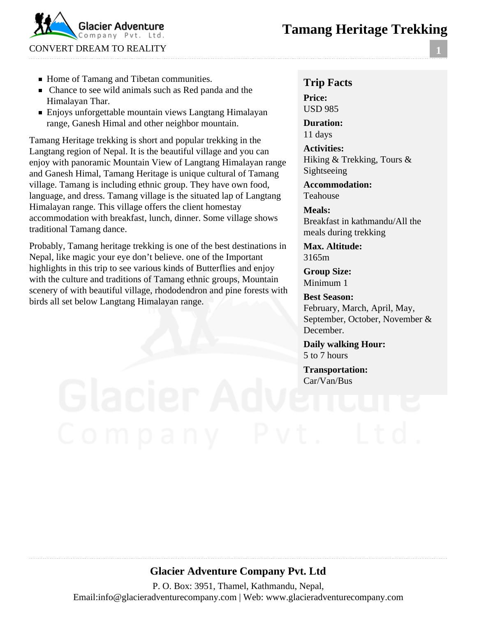# **Tamang Heritage Trekking**



- Home of Tamang and Tibetan communities.
- Chance to see wild animals such as Red panda and the Himalayan Thar.
- Enjoys unforgettable mountain views Langtang Himalayan range, Ganesh Himal and other neighbor mountain.

Tamang Heritage trekking is short and popular trekking in the Langtang region of Nepal. It is the beautiful village and you can enjoy with panoramic Mountain View of Langtang Himalayan range and Ganesh Himal, Tamang Heritage is unique cultural of Tamang village. Tamang is including ethnic group. They have own food, language, and dress. Tamang village is the situated lap of Langtang Himalayan range. This village offers the client homestay accommodation with breakfast, lunch, dinner. Some village shows traditional Tamang dance.

Probably, Tamang heritage trekking is one of the best destinations in Nepal, like magic your eye don't believe. one of the Important highlights in this trip to see various kinds of Butterflies and enjoy with the culture and traditions of Tamang ethnic groups, Mountain scenery of with beautiful village, rhododendron and pine forests with birds all set below Langtang Himalayan range.

#### **Trip Facts Price:** USD 985

**Duration:** 11 days

**Activities:** Hiking & Trekking, Tours & Sightseeing

**Accommodation:** Teahouse

**Meals:** Breakfast in kathmandu/All the meals during trekking

**Max. Altitude:** 3165m

**Group Size:** Minimum 1

**Best Season:** February, March, April, May, September, October, November & December.

**Daily walking Hour:** 5 to 7 hours

**Transportation:** Car/Van/Bus

# **Glacier Adventure Company Pvt. Ltd**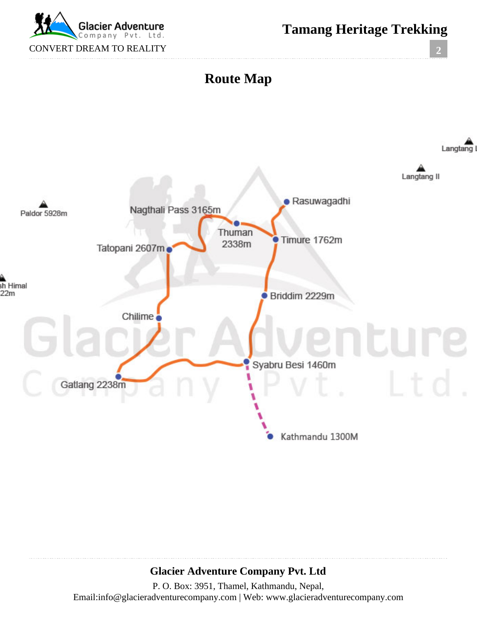

**Tamang Heritage Trekking**

**2**



# **Glacier Adventure Company Pvt. Ltd**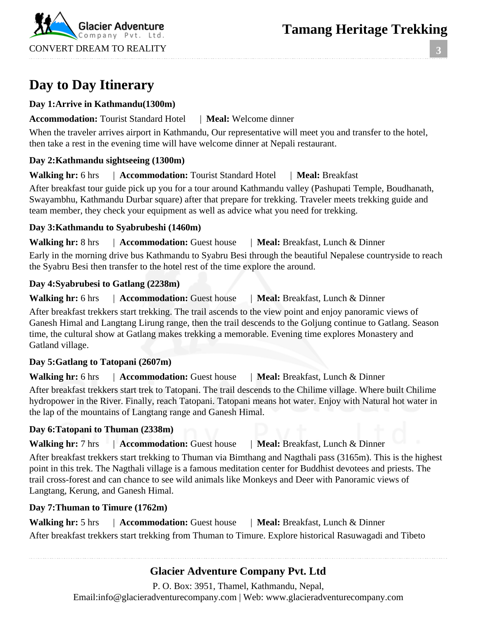

**3**

# **Day to Day Itinerary**

#### **Day 1:Arrive in Kathmandu(1300m)**

#### **Accommodation:** Tourist Standard Hotel | **Meal:** Welcome dinner

When the traveler arrives airport in Kathmandu, Our representative will meet you and transfer to the hotel, then take a rest in the evening time will have welcome dinner at Nepali restaurant.

### **Day 2:Kathmandu sightseeing (1300m)**

**Walking hr:** 6 hrs | **Accommodation:** Tourist Standard Hotel | **Meal:** Breakfast

After breakfast tour guide pick up you for a tour around Kathmandu valley (Pashupati Temple, Boudhanath, Swayambhu, Kathmandu Durbar square) after that prepare for trekking. Traveler meets trekking guide and team member, they check your equipment as well as advice what you need for trekking.

#### **Day 3:Kathmandu to Syabrubeshi (1460m)**

**Walking hr:** 8 hrs | **Accommodation:** Guest house | **Meal:** Breakfast, Lunch & Dinner

Early in the morning drive bus Kathmandu to Syabru Besi through the beautiful Nepalese countryside to reach the Syabru Besi then transfer to the hotel rest of the time explore the around.

#### **Day 4:Syabrubesi to Gatlang (2238m)**

Walking hr: 6 hrs | **Accommodation:** Guest house | **Meal:** Breakfast, Lunch & Dinner

After breakfast trekkers start trekking. The trail ascends to the view point and enjoy panoramic views of Ganesh Himal and Langtang Lirung range, then the trail descends to the Goljung continue to Gatlang. Season time, the cultural show at Gatlang makes trekking a memorable. Evening time explores Monastery and Gatland village.

### **Day 5:Gatlang to Tatopani (2607m)**

**Walking hr:** 6 hrs | **Accommodation:** Guest house | **Meal:** Breakfast, Lunch & Dinner

After breakfast trekkers start trek to Tatopani. The trail descends to the Chilime village. Where built Chilime hydropower in the River. Finally, reach Tatopani. Tatopani means hot water. Enjoy with Natural hot water in the lap of the mountains of Langtang range and Ganesh Himal.

### **Day 6:Tatopani to Thuman (2338m)**

**Walking hr:** 7 hrs | **Accommodation:** Guest house | **Meal:** Breakfast, Lunch & Dinner

After breakfast trekkers start trekking to Thuman via Bimthang and Nagthali pass (3165m). This is the highest point in this trek. The Nagthali village is a famous meditation center for Buddhist devotees and priests. The trail cross-forest and can chance to see wild animals like Monkeys and Deer with Panoramic views of Langtang, Kerung, and Ganesh Himal.

### **Day 7:Thuman to Timure (1762m)**

Walking hr: 5 hrs | **Accommodation:** Guest house | **Meal:** Breakfast, Lunch & Dinner After breakfast trekkers start trekking from Thuman to Timure. Explore historical Rasuwagadi and Tibeto

# **Glacier Adventure Company Pvt. Ltd**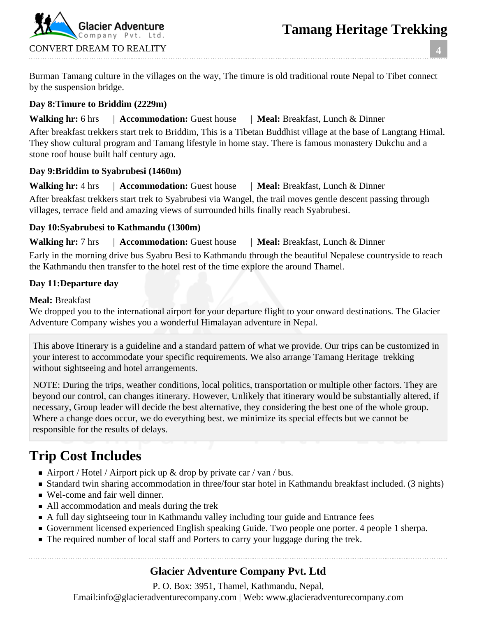

Burman Tamang culture in the villages on the way, The timure is old traditional route Nepal to Tibet connect by the suspension bridge.

#### **Day 8:Timure to Briddim (2229m)**

#### **Walking hr:** 6 hrs | **Accommodation:** Guest house | **Meal:** Breakfast, Lunch & Dinner

After breakfast trekkers start trek to Briddim, This is a Tibetan Buddhist village at the base of Langtang Himal. They show cultural program and Tamang lifestyle in home stay. There is famous monastery Dukchu and a stone roof house built half century ago.

#### **Day 9:Briddim to Syabrubesi (1460m)**

**Walking hr:** 4 hrs | **Accommodation:** Guest house | **Meal:** Breakfast, Lunch & Dinner

After breakfast trekkers start trek to Syabrubesi via Wangel, the trail moves gentle descent passing through villages, terrace field and amazing views of surrounded hills finally reach Syabrubesi.

#### **Day 10:Syabrubesi to Kathmandu (1300m)**

**Walking hr:** 7 hrs | **Accommodation:** Guest house | **Meal:** Breakfast, Lunch & Dinner Early in the morning drive bus Syabru Besi to Kathmandu through the beautiful Nepalese countryside to reach the Kathmandu then transfer to the hotel rest of the time explore the around Thamel.

#### **Day 11:Departure day**

**Meal:** Breakfast

We dropped you to the international airport for your departure flight to your onward destinations. The Glacier Adventure Company wishes you a wonderful Himalayan adventure in Nepal.

This above Itinerary is a guideline and a standard pattern of what we provide. Our trips can be customized in your interest to accommodate your specific requirements. We also arrange Tamang Heritage trekking without sightseeing and hotel arrangements.

NOTE: During the trips, weather conditions, local politics, transportation or multiple other factors. They are beyond our control, can changes itinerary. However, Unlikely that itinerary would be substantially altered, if necessary, Group leader will decide the best alternative, they considering the best one of the whole group. Where a change does occur, we do everything best. we minimize its special effects but we cannot be responsible for the results of delays.

# **Trip Cost Includes**

- Airport / Hotel / Airport pick up  $\&$  drop by private car / van / bus.
- Standard twin sharing accommodation in three/four star hotel in Kathmandu breakfast included. (3 nights)
- Wel-come and fair well dinner.
- All accommodation and meals during the trek
- A full day sightseeing tour in Kathmandu valley including tour guide and Entrance fees
- Government licensed experienced English speaking Guide. Two people one porter. 4 people 1 sherpa.
- The required number of local staff and Porters to carry your luggage during the trek.

# **Glacier Adventure Company Pvt. Ltd**

P. O. Box: 3951, Thamel, Kathmandu, Nepal,

Email:info@glacieradventurecompany.com | Web: www.glacieradventurecompany.com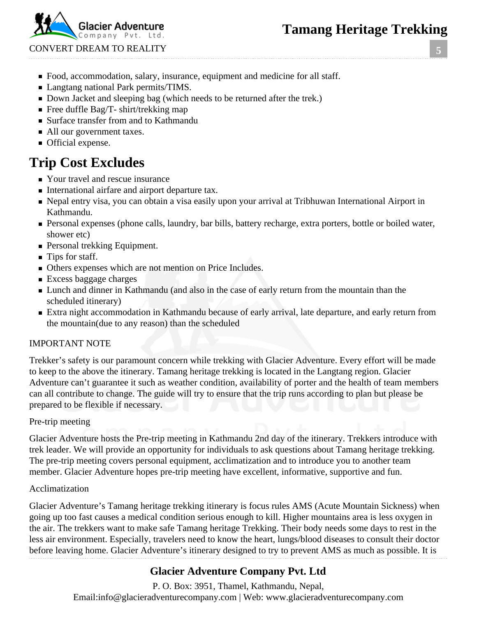Company Pvt. CONVERT DREAM TO REALITY

**5**

- Food, accommodation, salary, insurance, equipment and medicine for all staff.
- **Langtang national Park permits/TIMS.**
- Down Jacket and sleeping bag (which needs to be returned after the trek.)
- Free duffle Bag/T- shirt/trekking map
- Surface transfer from and to Kathmandu
- All our government taxes.
- **Official expense.**

# **Trip Cost Excludes**

- Your travel and rescue insurance
- International airfare and airport departure tax.
- Nepal entry visa, you can obtain a visa easily upon your arrival at Tribhuwan International Airport in Kathmandu.
- Personal expenses (phone calls, laundry, bar bills, battery recharge, extra porters, bottle or boiled water, shower etc)
- **Personal trekking Equipment.**
- Tips for staff.
- Others expenses which are not mention on Price Includes.
- **Excess baggage charges**
- **Lunch and dinner in Kathmandu** (and also in the case of early return from the mountain than the scheduled itinerary)
- Extra night accommodation in Kathmandu because of early arrival, late departure, and early return from the mountain(due to any reason) than the scheduled

### IMPORTANT NOTE

Trekker's safety is our paramount concern while trekking with Glacier Adventure. Every effort will be made to keep to the above the itinerary. Tamang heritage trekking is located in the Langtang region. Glacier Adventure can't guarantee it such as weather condition, availability of porter and the health of team members can all contribute to change. The guide will try to ensure that the trip runs according to plan but please be prepared to be flexible if necessary.

### Pre-trip meeting

Glacier Adventure hosts the Pre-trip meeting in Kathmandu 2nd day of the itinerary. Trekkers introduce with trek leader. We will provide an opportunity for individuals to ask questions about Tamang heritage trekking. The pre-trip meeting covers personal equipment, acclimatization and to introduce you to another team member. Glacier Adventure hopes pre-trip meeting have excellent, informative, supportive and fun.

### Acclimatization

Glacier Adventure's Tamang heritage trekking itinerary is focus rules AMS (Acute Mountain Sickness) when going up too fast causes a medical condition serious enough to kill. Higher mountains area is less oxygen in the air. The trekkers want to make safe Tamang heritage Trekking. Their body needs some days to rest in the less air environment. Especially, travelers need to know the heart, lungs/blood diseases to consult their doctor before leaving home. Glacier Adventure's itinerary designed to try to prevent AMS as much as possible. It is

# **Glacier Adventure Company Pvt. Ltd**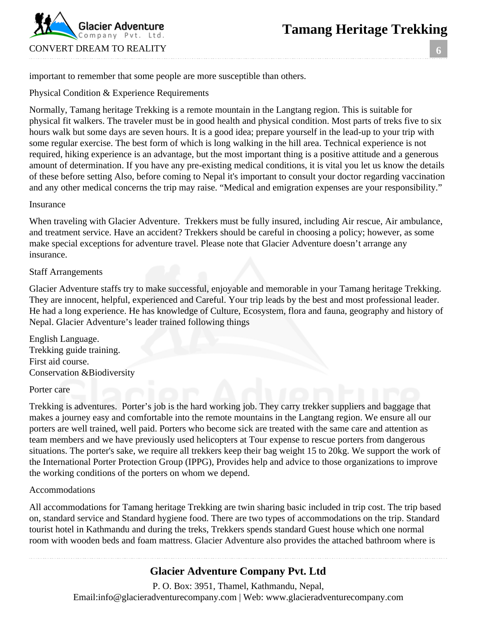

**6**

important to remember that some people are more susceptible than others.

Physical Condition & Experience Requirements

Normally, Tamang heritage Trekking is a remote mountain in the Langtang region. This is suitable for physical fit walkers. The traveler must be in good health and physical condition. Most parts of treks five to six hours walk but some days are seven hours. It is a good idea; prepare yourself in the lead-up to your trip with some regular exercise. The best form of which is long walking in the hill area. Technical experience is not required, hiking experience is an advantage, but the most important thing is a positive attitude and a generous amount of determination. If you have any pre-existing medical conditions, it is vital you let us know the details of these before setting Also, before coming to Nepal it's important to consult your doctor regarding vaccination and any other medical concerns the trip may raise. "Medical and emigration expenses are your responsibility."

#### Insurance

When traveling with Glacier Adventure. Trekkers must be fully insured, including Air rescue, Air ambulance, and treatment service. Have an accident? Trekkers should be careful in choosing a policy; however, as some make special exceptions for adventure travel. Please note that Glacier Adventure doesn't arrange any insurance.

#### Staff Arrangements

Glacier Adventure staffs try to make successful, enjoyable and memorable in your Tamang heritage Trekking. They are innocent, helpful, experienced and Careful. Your trip leads by the best and most professional leader. He had a long experience. He has knowledge of Culture, Ecosystem, flora and fauna, geography and history of Nepal. Glacier Adventure's leader trained following things

English Language. Trekking guide training. First aid course. Conservation &Biodiversity

#### Porter care

Trekking is adventures. Porter's job is the hard working job. They carry trekker suppliers and baggage that makes a journey easy and comfortable into the remote mountains in the Langtang region. We ensure all our porters are well trained, well paid. Porters who become sick are treated with the same care and attention as team members and we have previously used helicopters at Tour expense to rescue porters from dangerous situations. The porter's sake, we require all trekkers keep their bag weight 15 to 20kg. We support the work of the International Porter Protection Group (IPPG), Provides help and advice to those organizations to improve the working conditions of the porters on whom we depend.

#### Accommodations

All accommodations for Tamang heritage Trekking are twin sharing basic included in trip cost. The trip based on, standard service and Standard hygiene food. There are two types of accommodations on the trip. Standard tourist hotel in Kathmandu and during the treks, Trekkers spends standard Guest house which one normal room with wooden beds and foam mattress. Glacier Adventure also provides the attached bathroom where is

### **Glacier Adventure Company Pvt. Ltd**